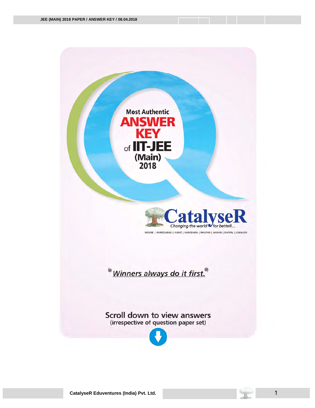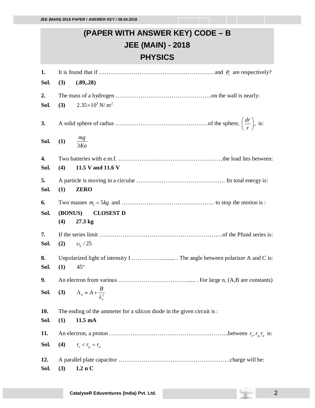## **(PAPER WITH ANSWER KEY) CODE – B JEE (MAIN) - 2018 PHYSICS**

| 1.         |                      |                                                                         |
|------------|----------------------|-------------------------------------------------------------------------|
| Sol.       | (3)                  | (.89, .28)                                                              |
| 2.         |                      |                                                                         |
| Sol.       | (3)                  | $2.35 \times 10^3$ N/m <sup>2</sup>                                     |
| 3.<br>Sol. | (1) $\frac{mg}{3Ka}$ |                                                                         |
| 4.         |                      |                                                                         |
| Sol.       | (4)                  | 11.5 V and 11.6 V                                                       |
| 5.<br>Sol. | (1)                  | <b>ZERO</b>                                                             |
| 6.         |                      |                                                                         |
| Sol.       | (BONUS)              | <b>CLOSEST D</b>                                                        |
|            | (4)                  | 27.3 kg                                                                 |
|            |                      |                                                                         |
| 7.         |                      |                                                                         |
| Sol.       |                      | (2) $v_L/25$                                                            |
| 8.         |                      |                                                                         |
| Sol.       | (1)                  | $45^{\circ}$                                                            |
| 9.         |                      |                                                                         |
| Sol.       |                      | (3) $\Lambda_n \approx A + \frac{B}{\lambda_n^2}$                       |
|            |                      |                                                                         |
| 10.        |                      | The ending of the ammeter for a silicon diode in the given circuit is : |
| Sol.       | (1)                  | 11.5 mA                                                                 |
| 11.        |                      |                                                                         |
|            |                      |                                                                         |
| Sol.       | (4)                  | $r_e < r_p = r_\alpha$                                                  |
| 12.        |                      |                                                                         |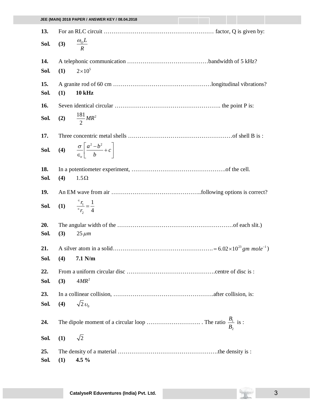| 13.         |                                                                      |
|-------------|----------------------------------------------------------------------|
| Sol.        | (3) $\frac{\omega_0 L}{R}$                                           |
| 14.         |                                                                      |
| Sol.        | $2\times10^5$<br>(1)                                                 |
| 15.<br>Sol. | (1)<br><b>10 kHz</b>                                                 |
| 16.         |                                                                      |
| Sol.        | (2) $\frac{181}{2}MR^2$                                              |
| 17.         |                                                                      |
| Sol.        | (4) $\frac{\sigma}{\epsilon} \left  \frac{a^2 - b^2}{b} + c \right $ |
| 18.         |                                                                      |
| Sol.        | (4)<br>$1.5\Omega$                                                   |
| 19.         |                                                                      |
| Sol.        | (1) $\frac{F_1}{F_2} = \frac{1}{4}$                                  |
| 20.<br>Sol. | (3)<br>$25 \mu m$                                                    |
| 21.         |                                                                      |
|             | Sol. (4) $7.1 \text{ N/m}$                                           |
| 22.         |                                                                      |
| Sol.        | $4MR^2$<br>(3)                                                       |
| 23.         |                                                                      |
| Sol.        | $\sqrt{2}v_0$<br>(4)                                                 |
| 24.         |                                                                      |
| Sol.        | $\sqrt{2}$<br>(1)                                                    |
| 25.<br>Sol. | 4.5 $%$<br>(1)                                                       |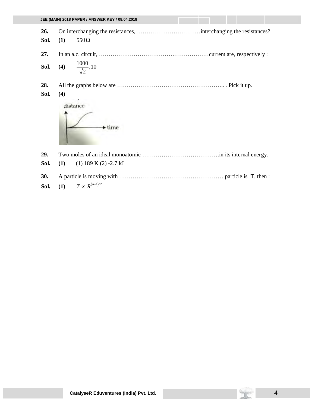|             | JEE (MAIN) 2018 PAPER / ANSWER KEY / 08.04.2018 |
|-------------|-------------------------------------------------|
| 26.<br>Sol. | (1)<br>$550\Omega$                              |
| 27.         |                                                 |
| Sol.        | (4) $\frac{1000}{\sqrt{2}}$ , 10                |
| 28.<br>Sol. | (4)<br>distance                                 |
|             | $\blacktriangleright$ time                      |
| 29.<br>Sol. | (1)<br>$(1)$ 189 K $(2)$ -2.7 kJ                |
| 30.         |                                                 |

**Sol.** (1)  $T \propto R^{(n+1)/2}$ 

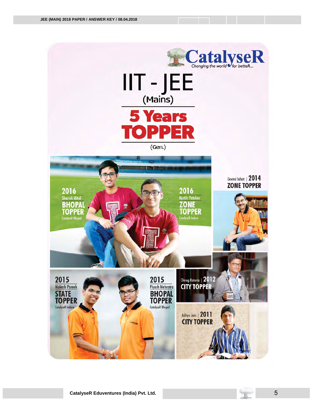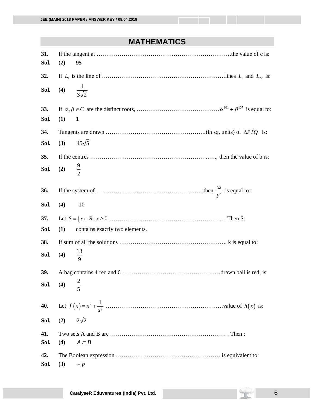## **MATHEMATICS**

| 31.         |                    |                                |
|-------------|--------------------|--------------------------------|
| Sol.        | (2)                | 95                             |
| 32.         |                    |                                |
| Sol.        |                    | (4) $\frac{1}{3\sqrt{2}}$      |
| 33.         |                    |                                |
| Sol.        | (1)                | $\mathbf{1}$                   |
| 34.         |                    |                                |
| Sol.        | (3)                | $45\sqrt{5}$                   |
| 35.         |                    |                                |
| Sol.        | (2) $\frac{9}{2}$  |                                |
| 36.         |                    |                                |
| Sol.        | (4)                | 10                             |
| 37.         |                    |                                |
| Sol.        | (1)                | contains exactly two elements. |
| 38.         |                    |                                |
| Sol.        | (4) $\frac{13}{9}$ |                                |
| 39.         |                    |                                |
| Sol.        |                    | (4) $\frac{2}{5}$              |
| 40.         |                    |                                |
| Sol.        | (2)                | $2\sqrt{2}$                    |
| 41.<br>Sol. | (4)                | $A \subset B$                  |
| 42.<br>Sol. | (3)                | $\sim p$                       |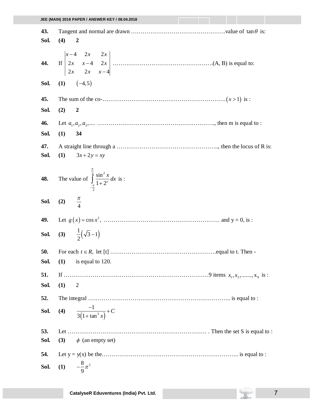| 43.         |                                                                                                  |
|-------------|--------------------------------------------------------------------------------------------------|
| Sol.        | (4)<br>$\boldsymbol{2}$                                                                          |
| 44.<br>Sol. | $(1)$ $(-4,5)$                                                                                   |
| 45.         |                                                                                                  |
| Sol.        | (2)<br>$\boldsymbol{2}$                                                                          |
| 46.         |                                                                                                  |
| Sol.        | (1)<br>34                                                                                        |
| 47.<br>Sol. | (1)<br>$3x+2y=xy$                                                                                |
|             | <b>48.</b> The value of $\int_{-\frac{\pi}{2}}^{\frac{\pi}{2}} \frac{\sin^2 x}{1 + 2^x} dx$ is : |
|             | <b>Sol.</b> (2) $\frac{\pi}{4}$                                                                  |
|             |                                                                                                  |
|             | <b>Sol.</b> (3) $\frac{1}{2}(\sqrt{3}-1)$                                                        |
| 50.         |                                                                                                  |
| Sol.        | (1)<br>is equal to 120.                                                                          |
| 51.         |                                                                                                  |
| Sol.        | (1)<br>$\overline{2}$                                                                            |
| 52.         |                                                                                                  |
| Sol.        | (4) $\frac{-1}{3(1 + \tan^3 x)} + C$                                                             |
| 53.         |                                                                                                  |
| Sol.        | $\phi$ (an empty set)<br>(3)                                                                     |
| 54.         |                                                                                                  |
| Sol.        | $-\frac{8}{0}\pi^2$<br>(1)                                                                       |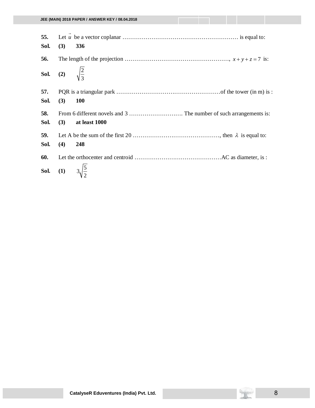| 55.<br>Sol.                          | (3)                                   | 336           |
|--------------------------------------|---------------------------------------|---------------|
| 56.                                  |                                       |               |
| <b>Sol.</b> (2) $\sqrt{\frac{2}{3}}$ |                                       |               |
| 57.<br>Sol.                          | (3)                                   | <b>100</b>    |
| 58.<br>Sol.                          | (3)                                   | at least 1000 |
| 59.<br>Sol.                          | (4)                                   | 248           |
| 60.                                  |                                       |               |
|                                      | <b>Sol.</b> (1) $3\sqrt{\frac{5}{2}}$ |               |

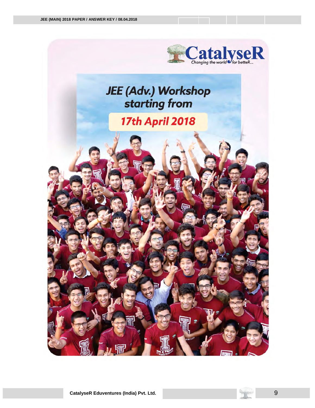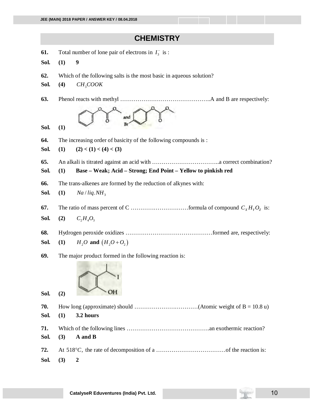## **CHEMISTRY**

- **61.** Total number of lone pair of electrons in  $I_3^-$  is :
- **Sol. (1) 9**
- **62.** Which of the following salts is the most basic in aqueous solution?
- **Sol.** (4) *CH<sub>3</sub>COOK*
- **63.** Phenol reacts with methyl ………………………………………..A and B are respectively:



**Sol. (1)** 

**64.** The increasing order of basicity of the following compounds is :

Sol. (1)  $(2) < (1) < (4) < (3)$ 

**65.** An alkali is titrated against an acid with ……………………………..a correct combination?

**Sol. (1) Base – Weak; Acid – Strong; End Point – Yellow to pinkish red**

**66.** The trans-alkenes are formed by the reduction of alkynes with:

**Sol.** (1) 
$$
Na/liq.NH_3
$$

- **67.** The ratio of mass percent of C ………………………formula of compound  $C_x H_y O_z$  is:
- **Sol.** (2)  $C_2 H_4 O_3$
- **68.** Hydrogen peroxide oxidizes ………………………………………formed are, respectively:
- **Sol.** (1)  $H_2O$  and  $(H_2O+O_2)$
- **69.** The major product formed in the following reaction is:



**Sol. (2) 70.** How long (approximate) should  $\ldots$   $\ldots$   $\ldots$   $\ldots$   $\ldots$   $\ldots$   $\ldots$   $\ldots$   $\ldots$   $\ldots$   $\ldots$   $\ldots$   $\ldots$   $\ldots$   $\ldots$   $\ldots$   $\ldots$   $\ldots$   $\ldots$   $\ldots$   $\ldots$   $\ldots$   $\ldots$   $\ldots$   $\ldots$   $\ldots$   $\ldots$   $\ldots$   $\ldots$   $\ldots$   $\ldots$ **Sol. (1) 3.2 hours 71.** Which of the following lines …………………………………….an exothermic reaction? **Sol. (3) A and B 72.** At 518 , *C* the rate of decomposition of a ………………………………of the reaction is: **Sol. (3) 2**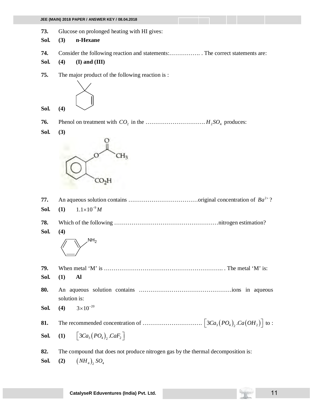|             | JEE (MAIN) 2018 PAPER / ANSWER KEY / 08.04.2018                                  |  |
|-------------|----------------------------------------------------------------------------------|--|
| 73.<br>Sol. | Glucose on prolonged heating with HI gives:<br>n-Hexane<br>(3)                   |  |
| 74.<br>Sol. | (4)<br>$(I)$ and $(III)$                                                         |  |
| 75.         | The major product of the following reaction is :                                 |  |
| Sol.        | (4)                                                                              |  |
| 76.         |                                                                                  |  |
| Sol.        | (3)                                                                              |  |
|             | CO <sub>2</sub> H                                                                |  |
| 77.         |                                                                                  |  |
| Sol.        | $1.1 \times 10^{-9} M$<br>(1)                                                    |  |
|             |                                                                                  |  |
| 78.         |                                                                                  |  |
| Sol.        | (4)                                                                              |  |
|             | NH <sub>2</sub>                                                                  |  |
| 79.         |                                                                                  |  |
| Sol.        | (1)<br>Al                                                                        |  |
| 80.         | solution is:                                                                     |  |
| Sol.        | $3 \times 10^{-20}$<br>(4)                                                       |  |
| 81.         |                                                                                  |  |
| Sol.        | $\vert 3Ca_{3}(PO_{4}), CaF_{2}\vert$<br>(1)                                     |  |
| 82.         | The compound that does not produce nitrogen gas by the thermal decomposition is: |  |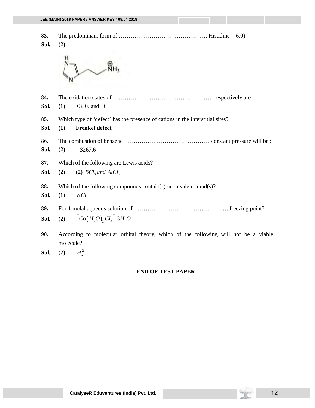|             | JEE (MAIN) 2018 PAPER / ANSWER KEY / 08.04.2018                                                               |  |
|-------------|---------------------------------------------------------------------------------------------------------------|--|
| 83.<br>Sol. | (2)                                                                                                           |  |
| 84.<br>Sol. | $+3$ , 0, and $+6$<br>(1)                                                                                     |  |
| 85.<br>Sol. | Which type of 'defect' has the presence of cations in the interstitial sites?<br><b>Frenkel defect</b><br>(1) |  |
| 86.<br>Sol. | (2)<br>$-3267.6$                                                                                              |  |
| 87.<br>Sol. | Which of the following are Lewis acids?<br>(2)<br>(2) $BCl_3$ and AlCl <sub>3</sub>                           |  |
| 88.<br>Sol. | Which of the following compounds contain(s) no covalent bond(s)?<br>(1)<br>KCl                                |  |
| 89.<br>Sol. | $\Big[Co(H_2O),Cl_3\Big]$ .3H <sub>2</sub> O<br>(2)                                                           |  |
| 90.         | According to molecular orbital theory, which of the following will not be a viable<br>molecule?               |  |

**Sol.** (2)  $H_2^{2-}$ 

## **END OF TEST PAPER**

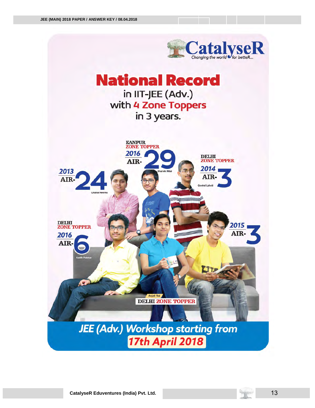